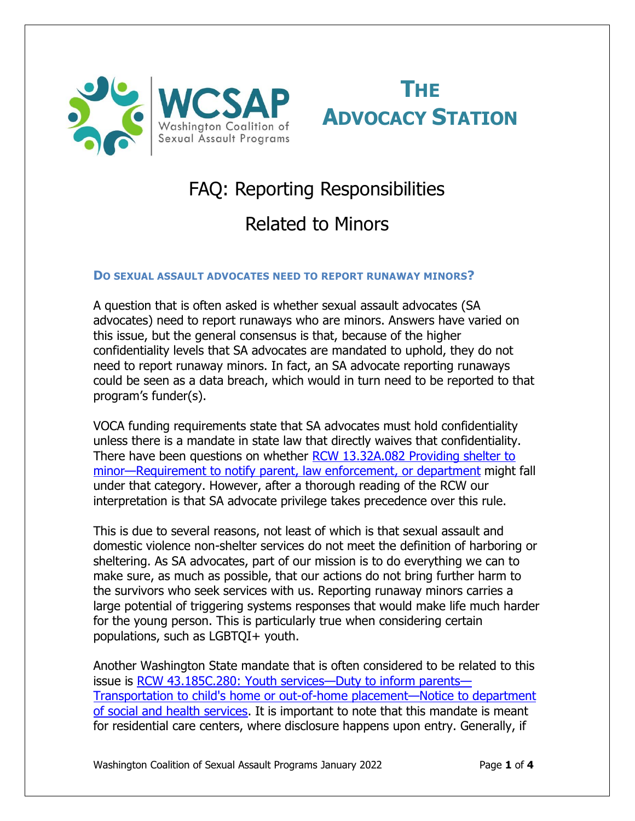



# FAQ: Reporting Responsibilities

## Related to Minors

## **DO SEXUAL ASSAULT ADVOCATES NEED TO REPORT RUNAWAY MINORS?**

A question that is often asked is whether sexual assault advocates (SA advocates) need to report runaways who are minors. Answers have varied on this issue, but the general consensus is that, because of the higher confidentiality levels that SA advocates are mandated to uphold, they do not need to report runaway minors. In fact, an SA advocate reporting runaways could be seen as a data breach, which would in turn need to be reported to that program's funder(s).

VOCA funding requirements state that SA advocates must hold confidentiality unless there is a mandate in state law that directly waives that confidentiality. There have been questions on whether [RCW 13.32A.082 Providing shelter to](https://app.leg.wa.gov/rcw/default.aspx?cite=13.32A.082)  minor—[Requirement to notify parent, law enforcement, or department](https://app.leg.wa.gov/rcw/default.aspx?cite=13.32A.082) might fall under that category. However, after a thorough reading of the RCW our interpretation is that SA advocate privilege takes precedence over this rule.

This is due to several reasons, not least of which is that sexual assault and domestic violence non-shelter services do not meet the definition of harboring or sheltering. As SA advocates, part of our mission is to do everything we can to make sure, as much as possible, that our actions do not bring further harm to the survivors who seek services with us. Reporting runaway minors carries a large potential of triggering systems responses that would make life much harder for the young person. This is particularly true when considering certain populations, such as LGBTQI+ youth.

Another Washington State mandate that is often considered to be related to this issue is [RCW 43.185C.280: Youth services](https://app.leg.wa.gov/rcw/default.aspx?cite=43.185C.280)—Duty to inform parents— [Transportation to child's home or out-of-home placement](https://app.leg.wa.gov/rcw/default.aspx?cite=43.185C.280)—Notice to department [of social and health services.](https://app.leg.wa.gov/rcw/default.aspx?cite=43.185C.280) It is important to note that this mandate is meant for residential care centers, where disclosure happens upon entry. Generally, if

Washington Coalition of Sexual Assault Programs January 2022 Page 1 of 4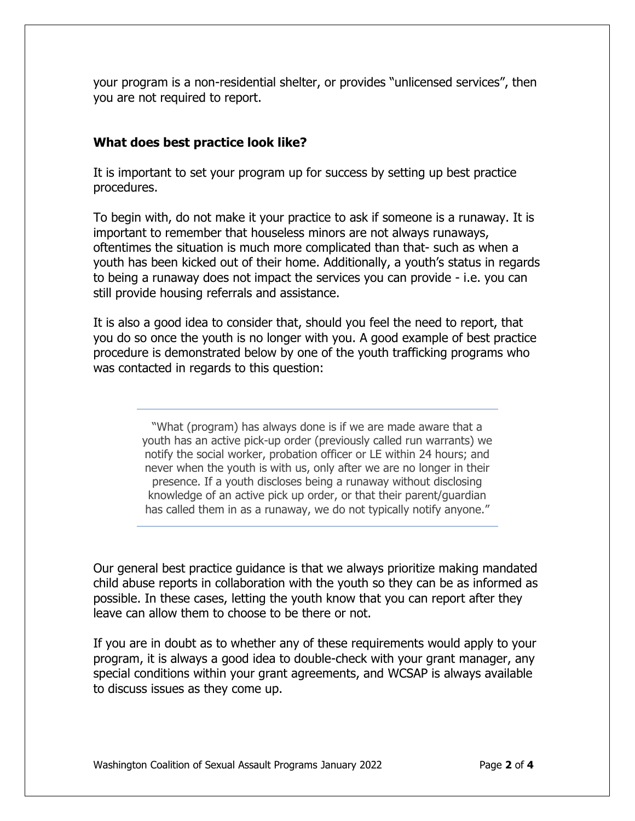your program is a non-residential shelter, or provides "unlicensed services", then you are not required to report.

## **What does best practice look like?**

It is important to set your program up for success by setting up best practice procedures.

To begin with, do not make it your practice to ask if someone is a runaway. It is important to remember that houseless minors are not always runaways, oftentimes the situation is much more complicated than that- such as when a youth has been kicked out of their home. Additionally, a youth's status in regards to being a runaway does not impact the services you can provide - i.e. you can still provide housing referrals and assistance.

It is also a good idea to consider that, should you feel the need to report, that you do so once the youth is no longer with you. A good example of best practice procedure is demonstrated below by one of the youth trafficking programs who was contacted in regards to this question:

> "What (program) has always done is if we are made aware that a youth has an active pick-up order (previously called run warrants) we notify the social worker, probation officer or LE within 24 hours; and never when the youth is with us, only after we are no longer in their presence. If a youth discloses being a runaway without disclosing knowledge of an active pick up order, or that their parent/guardian has called them in as a runaway, we do not typically notify anyone."

Our general best practice guidance is that we always prioritize making mandated child abuse reports in collaboration with the youth so they can be as informed as possible. In these cases, letting the youth know that you can report after they leave can allow them to choose to be there or not.

If you are in doubt as to whether any of these requirements would apply to your program, it is always a good idea to double-check with your grant manager, any special conditions within your grant agreements, and WCSAP is always available to discuss issues as they come up.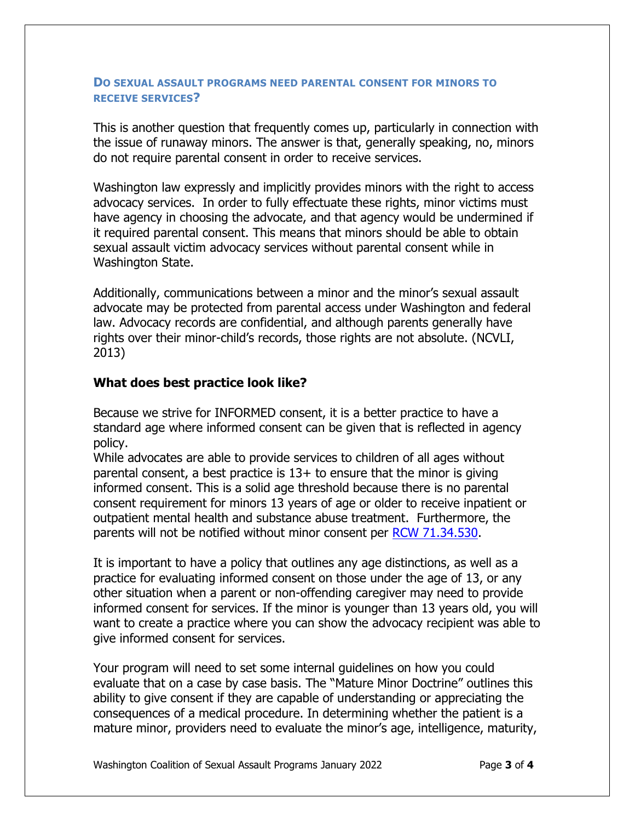## **DO SEXUAL ASSAULT PROGRAMS NEED PARENTAL CONSENT FOR MINORS TO RECEIVE SERVICES?**

This is another question that frequently comes up, particularly in connection with the issue of runaway minors. The answer is that, generally speaking, no, minors do not require parental consent in order to receive services.

Washington law expressly and implicitly provides minors with the right to access advocacy services. In order to fully effectuate these rights, minor victims must have agency in choosing the advocate, and that agency would be undermined if it required parental consent. This means that minors should be able to obtain sexual assault victim advocacy services without parental consent while in Washington State.

Additionally, communications between a minor and the minor's sexual assault advocate may be protected from parental access under Washington and federal law. Advocacy records are confidential, and although parents generally have rights over their minor-child's records, those rights are not absolute. (NCVLI, 2013)

## **What does best practice look like?**

Because we strive for INFORMED consent, it is a better practice to have a standard age where informed consent can be given that is reflected in agency policy.

While advocates are able to provide services to children of all ages without parental consent, a best practice is  $13+$  to ensure that the minor is giving informed consent. This is a solid age threshold because there is no parental consent requirement for minors 13 years of age or older to receive inpatient or outpatient mental health and substance abuse treatment. Furthermore, the parents will not be notified without minor consent per [RCW 71.34.530.](https://app.leg.wa.gov/rcw/default.aspx?cite=71.34.530)

It is important to have a policy that outlines any age distinctions, as well as a practice for evaluating informed consent on those under the age of 13, or any other situation when a parent or non-offending caregiver may need to provide informed consent for services. If the minor is younger than 13 years old, you will want to create a practice where you can show the advocacy recipient was able to give informed consent for services.

Your program will need to set some internal guidelines on how you could evaluate that on a case by case basis. The "Mature Minor Doctrine" outlines this ability to give consent if they are capable of understanding or appreciating the consequences of a medical procedure. In determining whether the patient is a mature minor, providers need to evaluate the minor's age, intelligence, maturity,

Washington Coalition of Sexual Assault Programs January 2022 Page 3 of 4